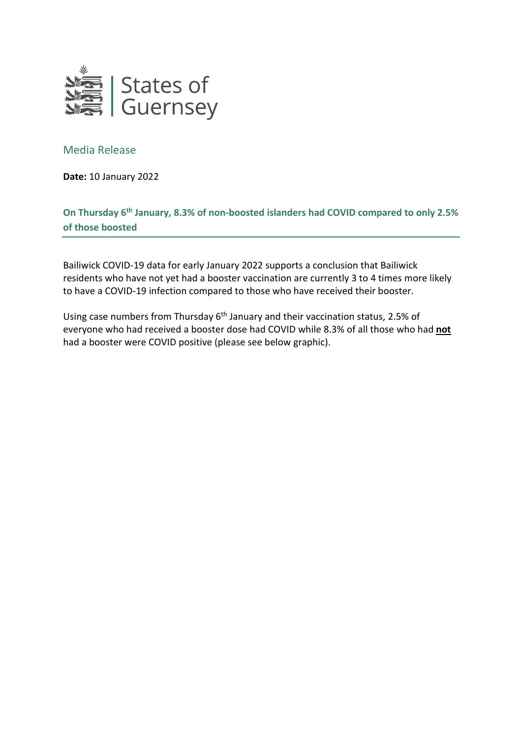

## Media Release

**Date:** 10 January 2022

## **On Thursday 6th January, 8.3% of non-boosted islanders had COVID compared to only 2.5% of those boosted**

Bailiwick COVID-19 data for early January 2022 supports a conclusion that Bailiwick residents who have not yet had a booster vaccination are currently 3 to 4 times more likely to have a COVID-19 infection compared to those who have received their booster.

Using case numbers from Thursday  $6<sup>th</sup>$  January and their vaccination status, 2.5% of everyone who had received a booster dose had COVID while 8.3% of all those who had **not** had a booster were COVID positive (please see below graphic).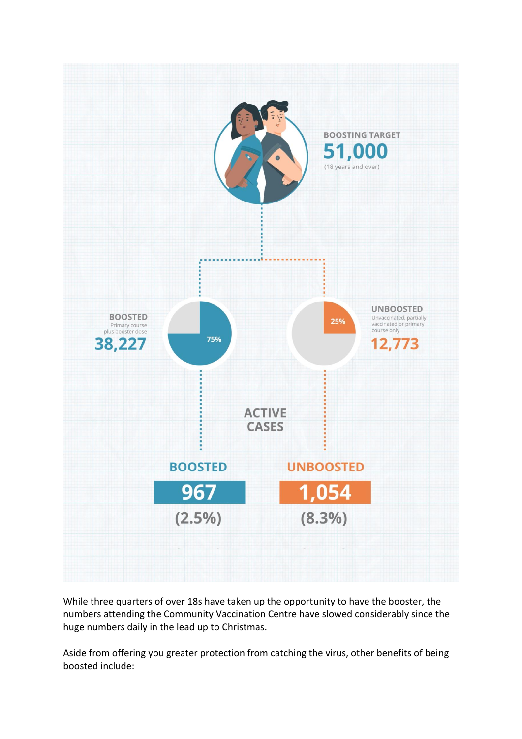

While three quarters of over 18s have taken up the opportunity to have the booster, the numbers attending the Community Vaccination Centre have slowed considerably since the huge numbers daily in the lead up to Christmas.

Aside from offering you greater protection from catching the virus, other benefits of being boosted include: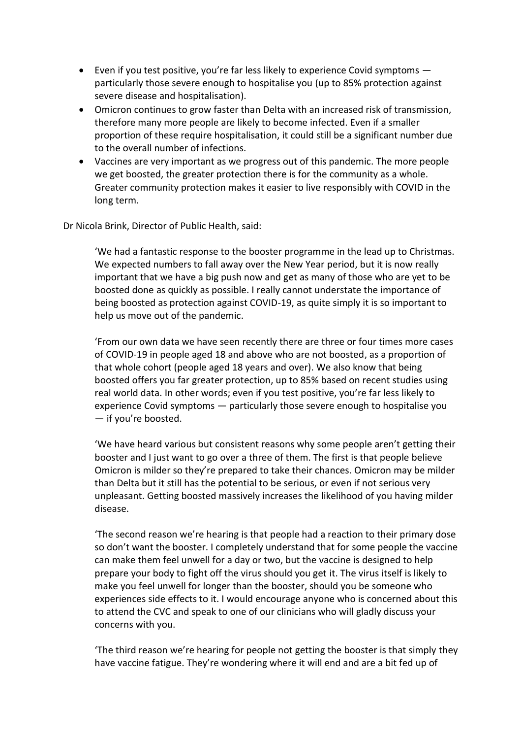- Even if you test positive, you're far less likely to experience Covid symptoms particularly those severe enough to hospitalise you (up to 85% protection against severe disease and hospitalisation).
- Omicron continues to grow faster than Delta with an increased risk of transmission, therefore many more people are likely to become infected. Even if a smaller proportion of these require hospitalisation, it could still be a significant number due to the overall number of infections.
- Vaccines are very important as we progress out of this pandemic. The more people we get boosted, the greater protection there is for the community as a whole. Greater community protection makes it easier to live responsibly with COVID in the long term.

Dr Nicola Brink, Director of Public Health, said:

'We had a fantastic response to the booster programme in the lead up to Christmas. We expected numbers to fall away over the New Year period, but it is now really important that we have a big push now and get as many of those who are yet to be boosted done as quickly as possible. I really cannot understate the importance of being boosted as protection against COVID-19, as quite simply it is so important to help us move out of the pandemic.

'From our own data we have seen recently there are three or four times more cases of COVID-19 in people aged 18 and above who are not boosted, as a proportion of that whole cohort (people aged 18 years and over). We also know that being boosted offers you far greater protection, up to 85% based on recent studies using real world data. In other words; even if you test positive, you're far less likely to experience Covid symptoms — particularly those severe enough to hospitalise you — if you're boosted.

'We have heard various but consistent reasons why some people aren't getting their booster and I just want to go over a three of them. The first is that people believe Omicron is milder so they're prepared to take their chances. Omicron may be milder than Delta but it still has the potential to be serious, or even if not serious very unpleasant. Getting boosted massively increases the likelihood of you having milder disease.

'The second reason we're hearing is that people had a reaction to their primary dose so don't want the booster. I completely understand that for some people the vaccine can make them feel unwell for a day or two, but the vaccine is designed to help prepare your body to fight off the virus should you get it. The virus itself is likely to make you feel unwell for longer than the booster, should you be someone who experiences side effects to it. I would encourage anyone who is concerned about this to attend the CVC and speak to one of our clinicians who will gladly discuss your concerns with you.

'The third reason we're hearing for people not getting the booster is that simply they have vaccine fatigue. They're wondering where it will end and are a bit fed up of